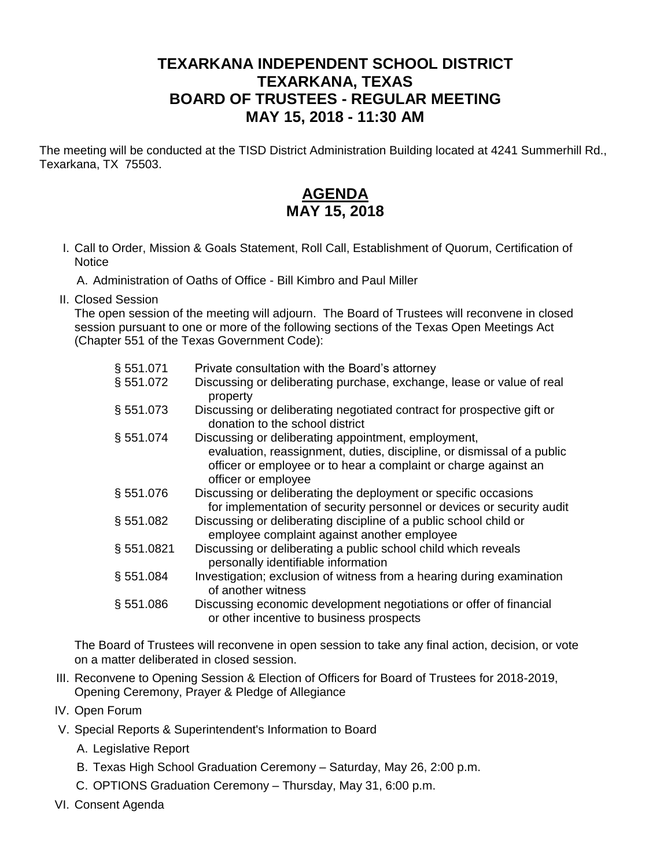## **TEXARKANA INDEPENDENT SCHOOL DISTRICT TEXARKANA, TEXAS BOARD OF TRUSTEES - REGULAR MEETING MAY 15, 2018 - 11:30 AM**

The meeting will be conducted at the TISD District Administration Building located at 4241 Summerhill Rd., Texarkana, TX 75503.

## **AGENDA MAY 15, 2018**

I. Call to Order, Mission & Goals Statement, Roll Call, Establishment of Quorum, Certification of **Notice** 

A. Administration of Oaths of Office - Bill Kimbro and Paul Miller

II. Closed Session

The open session of the meeting will adjourn. The Board of Trustees will reconvene in closed session pursuant to one or more of the following sections of the Texas Open Meetings Act (Chapter 551 of the Texas Government Code):

| § 551.071    | Private consultation with the Board's attorney                                                                                                                   |
|--------------|------------------------------------------------------------------------------------------------------------------------------------------------------------------|
| § 551.072    | Discussing or deliberating purchase, exchange, lease or value of real<br>property                                                                                |
| § 551.073    | Discussing or deliberating negotiated contract for prospective gift or<br>donation to the school district                                                        |
| § 551.074    | Discussing or deliberating appointment, employment,                                                                                                              |
|              | evaluation, reassignment, duties, discipline, or dismissal of a public<br>officer or employee or to hear a complaint or charge against an<br>officer or employee |
| §551.076     | Discussing or deliberating the deployment or specific occasions<br>for implementation of security personnel or devices or security audit                         |
| \$551.082    | Discussing or deliberating discipline of a public school child or<br>employee complaint against another employee                                                 |
| §551.0821    | Discussing or deliberating a public school child which reveals<br>personally identifiable information                                                            |
| § 551.084    | Investigation; exclusion of witness from a hearing during examination<br>of another witness                                                                      |
| $\S 551.086$ | Discussing economic development negotiations or offer of financial<br>or other incentive to business prospects                                                   |

The Board of Trustees will reconvene in open session to take any final action, decision, or vote on a matter deliberated in closed session.

- III. Reconvene to Opening Session & Election of Officers for Board of Trustees for 2018-2019, Opening Ceremony, Prayer & Pledge of Allegiance
- IV. Open Forum
- V. Special Reports & Superintendent's Information to Board
	- A. Legislative Report
	- B. Texas High School Graduation Ceremony Saturday, May 26, 2:00 p.m.
	- C. OPTIONS Graduation Ceremony Thursday, May 31, 6:00 p.m.
- VI. Consent Agenda